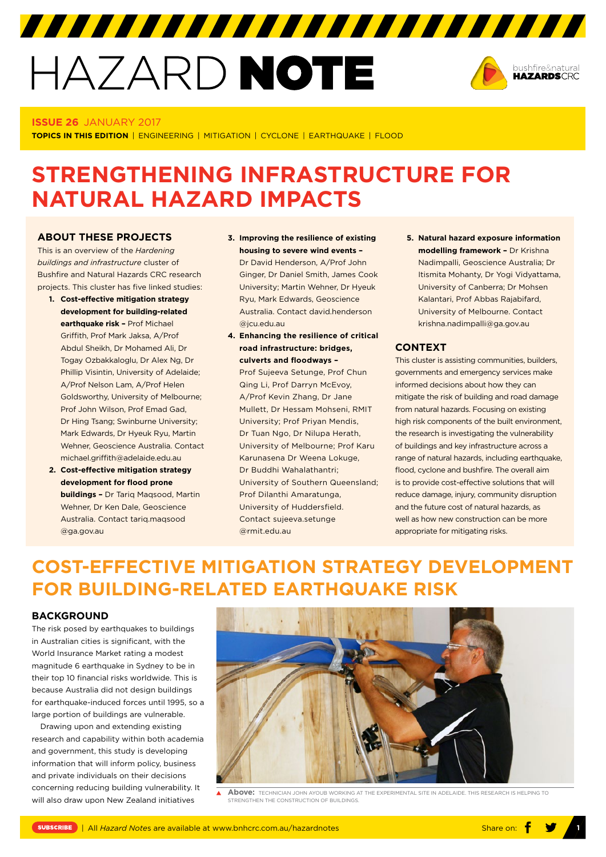# HAZARD NOTE



#### **ISSUE 26** JANUARY 2017

**TOPICS IN THIS EDITION** | ENGINEERING | MITIGATION | CYCLONE | EARTHQUAKE | FLOOD

## **STRENGTHENING INFRASTRUCTURE FOR NATURAL HAZARD IMPACTS**

#### **ABOUT THESE PROJECTS**

This is an overview of the *Hardening buildings and infrastructure* cluster of Bushfire and Natural Hazards CRC research projects. This cluster has five linked studies:

- **1. Cost-effective mitigation strategy development for building-related earthquake risk –** Prof Michael Griffith, Prof Mark Jaksa, A/Prof Abdul Sheikh, Dr Mohamed Ali, Dr Togay Ozbakkaloglu, Dr Alex Ng, Dr Phillip Visintin, University of Adelaide; A/Prof Nelson Lam, A/Prof Helen Goldsworthy, University of Melbourne; Prof John Wilson, Prof Emad Gad, Dr Hing Tsang; Swinburne University; Mark Edwards, Dr Hyeuk Ryu, Martin Wehner, Geoscience Australia. Contact michael.griffith@adelaide.edu.au
- **2. Cost-effective mitigation strategy development for flood prone buildings –** Dr Tariq Maqsood, Martin Wehner, Dr Ken Dale, Geoscience Australia. Contact tariq.maqsood @ga.gov.au

**3. Improving the resilience of existing housing to severe wind events –**  Dr David Henderson, A/Prof John Ginger, Dr Daniel Smith, James Cook University; Martin Wehner, Dr Hyeuk Ryu, Mark Edwards, Geoscience Australia. Contact david.henderson @jcu.edu.au

7777777777777777777777777777777

**4. Enhancing the resilience of critical road infrastructure: bridges, culverts and floodways –** 

Prof Sujeeva Setunge, Prof Chun Qing Li, Prof Darryn McEvoy, A/Prof Kevin Zhang, Dr Jane Mullett, Dr Hessam Mohseni, RMIT University; Prof Priyan Mendis, Dr Tuan Ngo, Dr Nilupa Herath, University of Melbourne; Prof Karu Karunasena Dr Weena Lokuge, Dr Buddhi Wahalathantri; University of Southern Queensland; Prof Dilanthi Amaratunga, University of Huddersfield. Contact sujeeva.setunge @rmit.edu.au

**5. Natural hazard exposure information modelling framework –** Dr Krishna Nadimpalli, Geoscience Australia; Dr Itismita Mohanty, Dr Yogi Vidyattama, University of Canberra; Dr Mohsen Kalantari, Prof Abbas Rajabifard, University of Melbourne. Contact krishna.nadimpalli@ga.gov.au

#### **CONTEXT**

This cluster is assisting communities, builders, governments and emergency services make informed decisions about how they can mitigate the risk of building and road damage from natural hazards. Focusing on existing high risk components of the built environment, the research is investigating the vulnerability of buildings and key infrastructure across a range of natural hazards, including earthquake, flood, cyclone and bushfire. The overall aim is to provide cost-effective solutions that will reduce damage, injury, community disruption and the future cost of natural hazards, as well as how new construction can be more appropriate for mitigating risks.

## **COST-EFFECTIVE MITIGATION STRATEGY DEVELOPMENT FOR BUILDING-RELATED EARTHQUAKE RISK**

#### **BACKGROUND**

The risk posed by earthquakes to buildings in Australian cities is significant, with the World Insurance Market rating a modest magnitude 6 earthquake in Sydney to be in their top 10 financial risks worldwide. This is because Australia did not design buildings for earthquake-induced forces until 1995, so a large portion of buildings are vulnerable.

Drawing upon and extending existing research and capability within both academia and government, this study is developing information that will inform policy, business and private individuals on their decisions concerning reducing building vulnerability. It will also draw upon New Zealand initiatives



 $\blacktriangle$ Above: TECHNICIAN JOHN AYOUR WORKING AT THE EXPERIMENTAL SITE IN ADELAIDE THIS RESEARCH IS HELPING TO STRENGTHEN THE CONSTRUCTION OF BUILDINGS.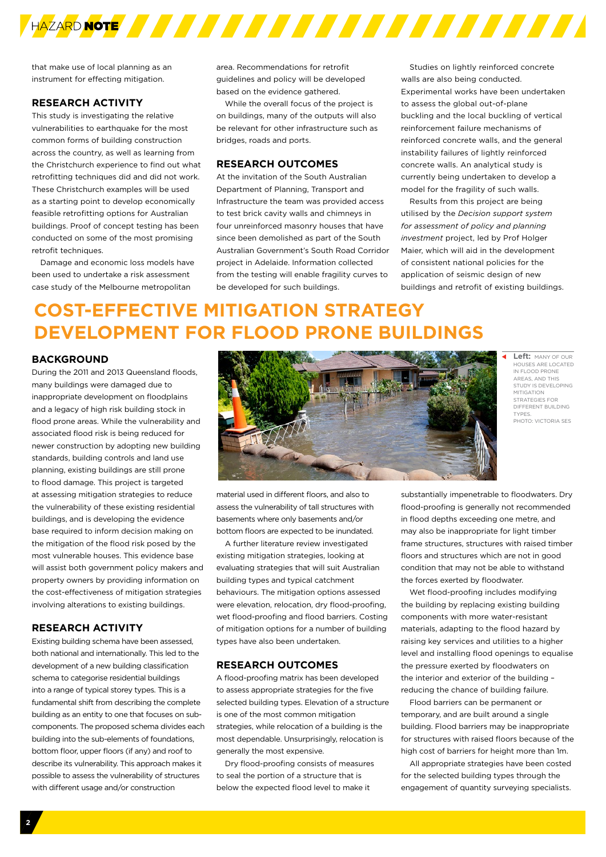

that make use of local planning as an instrument for effecting mitigation.

#### **RESEARCH ACTIVITY**

This study is investigating the relative vulnerabilities to earthquake for the most common forms of building construction across the country, as well as learning from the Christchurch experience to find out what retrofitting techniques did and did not work. These Christchurch examples will be used as a starting point to develop economically feasible retrofitting options for Australian buildings. Proof of concept testing has been conducted on some of the most promising retrofit techniques.

Damage and economic loss models have been used to undertake a risk assessment case study of the Melbourne metropolitan

area. Recommendations for retrofit guidelines and policy will be developed based on the evidence gathered.

While the overall focus of the project is on buildings, many of the outputs will also be relevant for other infrastructure such as bridges, roads and ports.

#### **RESEARCH OUTCOMES**

At the invitation of the South Australian Department of Planning, Transport and Infrastructure the team was provided access to test brick cavity walls and chimneys in four unreinforced masonry houses that have since been demolished as part of the South Australian Government's South Road Corridor project in Adelaide. Information collected from the testing will enable fragility curves to be developed for such buildings.

Studies on lightly reinforced concrete walls are also being conducted. Experimental works have been undertaken to assess the global out-of-plane buckling and the local buckling of vertical reinforcement failure mechanisms of reinforced concrete walls, and the general instability failures of lightly reinforced concrete walls. An analytical study is currently being undertaken to develop a model for the fragility of such walls.

Results from this project are being utilised by the *Decision support system for assessment of policy and planning investment* project, led by Prof Holger Maier, which will aid in the development of consistent national policies for the application of seismic design of new buildings and retrofit of existing buildings.

## **COST-EFFECTIVE MITIGATION STRATEGY DEVELOPMENT FOR FLOOD PRONE BUILDINGS**

#### **BACKGROUND**

During the 2011 and 2013 Queensland floods, many buildings were damaged due to inappropriate development on floodplains and a legacy of high risk building stock in flood prone areas. While the vulnerability and associated flood risk is being reduced for newer construction by adopting new building standards, building controls and land use planning, existing buildings are still prone to flood damage. This project is targeted at assessing mitigation strategies to reduce the vulnerability of these existing residential buildings, and is developing the evidence base required to inform decision making on the mitigation of the flood risk posed by the most vulnerable houses. This evidence base will assist both government policy makers and property owners by providing information on the cost-effectiveness of mitigation strategies involving alterations to existing buildings.

#### **RESEARCH ACTIVITY**

Existing building schema have been assessed, both national and internationally. This led to the development of a new building classification schema to categorise residential buildings into a range of typical storey types. This is a fundamental shift from describing the complete building as an entity to one that focuses on subcomponents. The proposed schema divides each building into the sub-elements of foundations, bottom floor, upper floors (if any) and roof to describe its vulnerability. This approach makes it possible to assess the vulnerability of structures with different usage and/or construction



**Left:** MANY OF OUR HOUSES ARE LOCATED IN FLOOD PRONE AREAS, AND THIS STUDY IS DEVELOPING MITIGATION STRATEGIES FOR DIFFERENT BUILDING TYPES. PHOTO: VICTORIA SES

material used in different floors, and also to assess the vulnerability of tall structures with basements where only basements and/or bottom floors are expected to be inundated.

A further literature review investigated existing mitigation strategies, looking at evaluating strategies that will suit Australian building types and typical catchment behaviours. The mitigation options assessed were elevation, relocation, dry flood-proofing, wet flood-proofing and flood barriers. Costing of mitigation options for a number of building types have also been undertaken.

#### **RESEARCH OUTCOMES**

A flood-proofing matrix has been developed to assess appropriate strategies for the five selected building types. Elevation of a structure is one of the most common mitigation strategies, while relocation of a building is the most dependable. Unsurprisingly, relocation is generally the most expensive.

Dry flood-proofing consists of measures to seal the portion of a structure that is below the expected flood level to make it

substantially impenetrable to floodwaters. Dry flood-proofing is generally not recommended in flood depths exceeding one metre, and may also be inappropriate for light timber frame structures, structures with raised timber floors and structures which are not in good condition that may not be able to withstand the forces exerted by floodwater.

Wet flood-proofing includes modifying the building by replacing existing building components with more water-resistant materials, adapting to the flood hazard by raising key services and utilities to a higher level and installing flood openings to equalise the pressure exerted by floodwaters on the interior and exterior of the building – reducing the chance of building failure.

Flood barriers can be permanent or temporary, and are built around a single building. Flood barriers may be inappropriate for structures with raised floors because of the high cost of barriers for height more than 1m.

All appropriate strategies have been costed for the selected building types through the engagement of quantity surveying specialists.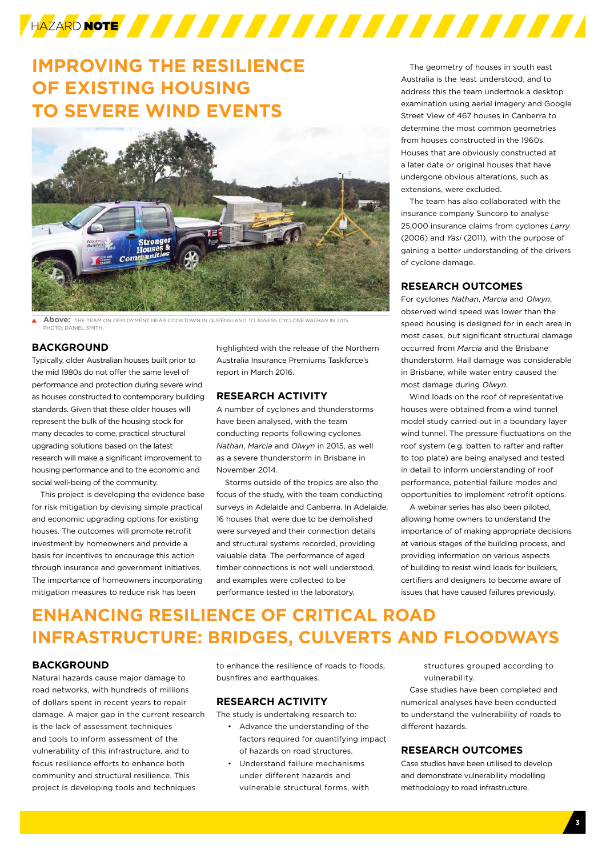

## **IMPROVING THE RESILIENCE OF EXISTING HOUSING TO SEVERE WIND EVENTS**



**Above:** THE TEAM ON DEPLOYMENT NEAR COOKTOWN IN QUEENSLAND TO ASSESS CYCLONE *NATHAN* IN 2015. PHOTO: DANIEL SMITH.

#### **BACKGROUND**

Typically, older Australian houses built prior to the mid 1980s do not offer the same level of performance and protection during severe wind as houses constructed to contemporary building standards. Given that these older houses will represent the bulk of the housing stock for many decades to come, practical structural upgrading solutions based on the latest research will make a significant improvement to housing performance and to the economic and social well-being of the community.

This project is developing the evidence base for risk mitigation by devising simple practical and economic upgrading options for existing houses. The outcomes will promote retrofit investment by homeowners and provide a basis for incentives to encourage this action through insurance and government initiatives. The importance of homeowners incorporating mitigation measures to reduce risk has been

highlighted with the release of the Northern Australia Insurance Premiums Taskforce's report in March 2016.

#### **RESEARCH ACTIVITY**

A number of cyclones and thunderstorms have been analysed, with the team conducting reports following cyclones *Nathan*, *Marcia* and *Olwyn* in 2015, as well as a severe thunderstorm in Brisbane in November 2014.

Storms outside of the tropics are also the focus of the study, with the team conducting surveys in Adelaide and Canberra. In Adelaide, 16 houses that were due to be demolished were surveyed and their connection details and structural systems recorded, providing valuable data. The performance of aged timber connections is not well understood, and examples were collected to be performance tested in the laboratory.

The geometry of houses in south east Australia is the least understood, and to address this the team undertook a desktop examination using aerial imagery and Google Street View of 467 houses in Canberra to determine the most common geometries from houses constructed in the 1960s. Houses that are obviously constructed at a later date or original houses that have undergone obvious alterations, such as extensions, were excluded.

The team has also collaborated with the insurance company Suncorp to analyse 25,000 insurance claims from cyclones *Larry* (2006) and *Yasi* (2011), with the purpose of gaining a better understanding of the drivers of cyclone damage.

#### **RESEARCH OUTCOMES**

For cyclones *Nathan*, *Marcia* and *Olwyn*, observed wind speed was lower than the speed housing is designed for in each area in most cases, but significant structural damage occurred from *Marcia* and the Brisbane thunderstorm. Hail damage was considerable in Brisbane, while water entry caused the most damage during *Olwyn*.

Wind loads on the roof of representative houses were obtained from a wind tunnel model study carried out in a boundary layer wind tunnel. The pressure fluctuations on the roof system (e.g. batten to rafter and rafter to top plate) are being analysed and tested in detail to inform understanding of roof performance, potential failure modes and opportunities to implement retrofit options.

A webinar series has also been piloted, allowing home owners to understand the importance of of making appropriate decisions at various stages of the building process, and providing information on various aspects of building to resist wind loads for builders, certifiers and designers to become aware of issues that have caused failures previously.

## **ENHANCING RESILIENCE OF CRITICAL ROAD INFRASTRUCTURE: BRIDGES, CULVERTS AND FLOODWAYS**

#### **BACKGROUND**

Natural hazards cause major damage to road networks, with hundreds of millions of dollars spent in recent years to repair damage. A major gap in the current research is the lack of assessment techniques and tools to inform assessment of the vulnerability of this infrastructure, and to focus resilience efforts to enhance both community and structural resilience. This project is developing tools and techniques

to enhance the resilience of roads to floods, bushfires and earthquakes.

#### **RESEARCH ACTIVITY**

The study is undertaking research to:

- Advance the understanding of the factors required for quantifying impact of hazards on road structures.
- Understand failure mechanisms under different hazards and vulnerable structural forms, with

structures grouped according to vulnerability.

Case studies have been completed and numerical analyses have been conducted to understand the vulnerability of roads to different hazards.

#### **RESEARCH OUTCOMES**

Case studies have been utilised to develop and demonstrate vulnerability modelling methodology to road infrastructure.